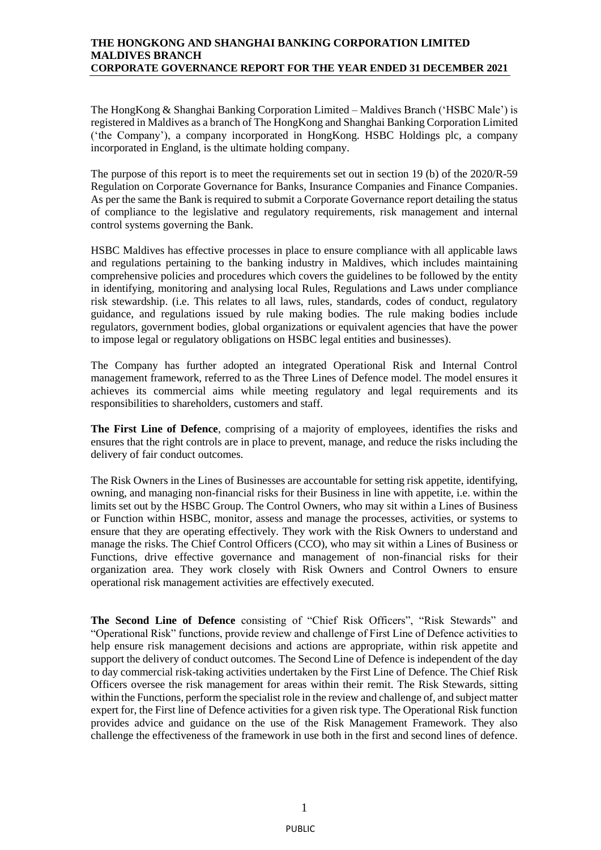## **THE HONGKONG AND SHANGHAI BANKING CORPORATION LIMITED MALDIVES BRANCH CORPORATE GOVERNANCE REPORT FOR THE YEAR ENDED 31 DECEMBER 2021**

The HongKong & Shanghai Banking Corporation Limited – Maldives Branch ('HSBC Male') is registered in Maldives as a branch of The HongKong and Shanghai Banking Corporation Limited ('the Company'), a company incorporated in HongKong. HSBC Holdings plc, a company incorporated in England, is the ultimate holding company.

The purpose of this report is to meet the requirements set out in section 19 (b) of the 2020/R-59 Regulation on Corporate Governance for Banks, Insurance Companies and Finance Companies. As per the same the Bank is required to submit a Corporate Governance report detailing the status of compliance to the legislative and regulatory requirements, risk management and internal control systems governing the Bank.

HSBC Maldives has effective processes in place to ensure compliance with all applicable laws and regulations pertaining to the banking industry in Maldives, which includes maintaining comprehensive policies and procedures which covers the guidelines to be followed by the entity in identifying, monitoring and analysing local Rules, Regulations and Laws under compliance risk stewardship. (i.e. This relates to all laws, rules, standards, codes of conduct, regulatory guidance, and regulations issued by rule making bodies. The rule making bodies include regulators, government bodies, global organizations or equivalent agencies that have the power to impose legal or regulatory obligations on HSBC legal entities and businesses).

The Company has further adopted an integrated Operational Risk and Internal Control management framework, referred to as the Three Lines of Defence model. The model ensures it achieves its commercial aims while meeting regulatory and legal requirements and its responsibilities to shareholders, customers and staff.

**The First Line of Defence**, comprising of a majority of employees, identifies the risks and ensures that the right controls are in place to prevent, manage, and reduce the risks including the delivery of fair conduct outcomes.

The Risk Owners in the Lines of Businesses are accountable for setting risk appetite, identifying, owning, and managing non-financial risks for their Business in line with appetite, i.e. within the limits set out by the HSBC Group. The Control Owners, who may sit within a Lines of Business or Function within HSBC, monitor, assess and manage the processes, activities, or systems to ensure that they are operating effectively. They work with the Risk Owners to understand and manage the risks. The Chief Control Officers (CCO), who may sit within a Lines of Business or Functions, drive effective governance and management of non-financial risks for their organization area. They work closely with Risk Owners and Control Owners to ensure operational risk management activities are effectively executed.

**The Second Line of Defence** consisting of "Chief Risk Officers", "Risk Stewards" and "Operational Risk" functions, provide review and challenge of First Line of Defence activities to help ensure risk management decisions and actions are appropriate, within risk appetite and support the delivery of conduct outcomes. The Second Line of Defence is independent of the day to day commercial risk-taking activities undertaken by the First Line of Defence. The Chief Risk Officers oversee the risk management for areas within their remit. The Risk Stewards, sitting within the Functions, perform the specialist role in the review and challenge of, and subject matter expert for, the First line of Defence activities for a given risk type. The Operational Risk function provides advice and guidance on the use of the Risk Management Framework. They also challenge the effectiveness of the framework in use both in the first and second lines of defence.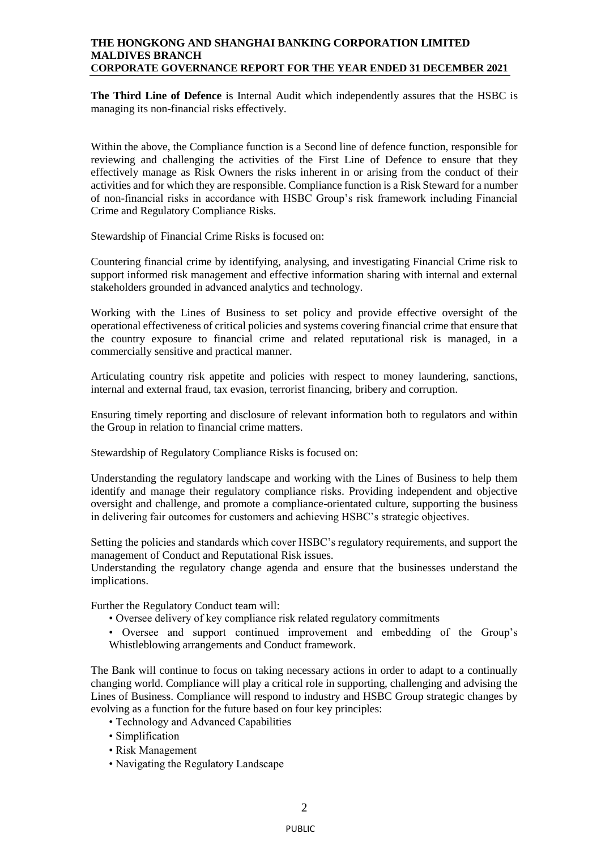### **THE HONGKONG AND SHANGHAI BANKING CORPORATION LIMITED MALDIVES BRANCH CORPORATE GOVERNANCE REPORT FOR THE YEAR ENDED 31 DECEMBER 2021**

**The Third Line of Defence** is Internal Audit which independently assures that the HSBC is managing its non-financial risks effectively.

Within the above, the Compliance function is a Second line of defence function, responsible for reviewing and challenging the activities of the First Line of Defence to ensure that they effectively manage as Risk Owners the risks inherent in or arising from the conduct of their activities and for which they are responsible. Compliance function is a Risk Steward for a number of non-financial risks in accordance with HSBC Group's risk framework including Financial Crime and Regulatory Compliance Risks.

Stewardship of Financial Crime Risks is focused on:

Countering financial crime by identifying, analysing, and investigating Financial Crime risk to support informed risk management and effective information sharing with internal and external stakeholders grounded in advanced analytics and technology.

Working with the Lines of Business to set policy and provide effective oversight of the operational effectiveness of critical policies and systems covering financial crime that ensure that the country exposure to financial crime and related reputational risk is managed, in a commercially sensitive and practical manner.

Articulating country risk appetite and policies with respect to money laundering, sanctions, internal and external fraud, tax evasion, terrorist financing, bribery and corruption.

Ensuring timely reporting and disclosure of relevant information both to regulators and within the Group in relation to financial crime matters.

Stewardship of Regulatory Compliance Risks is focused on:

Understanding the regulatory landscape and working with the Lines of Business to help them identify and manage their regulatory compliance risks. Providing independent and objective oversight and challenge, and promote a compliance-orientated culture, supporting the business in delivering fair outcomes for customers and achieving HSBC's strategic objectives.

Setting the policies and standards which cover HSBC's regulatory requirements, and support the management of Conduct and Reputational Risk issues.

Understanding the regulatory change agenda and ensure that the businesses understand the implications.

Further the Regulatory Conduct team will:

- Oversee delivery of key compliance risk related regulatory commitments
- Oversee and support continued improvement and embedding of the Group's Whistleblowing arrangements and Conduct framework.

The Bank will continue to focus on taking necessary actions in order to adapt to a continually changing world. Compliance will play a critical role in supporting, challenging and advising the Lines of Business. Compliance will respond to industry and HSBC Group strategic changes by evolving as a function for the future based on four key principles:

- Technology and Advanced Capabilities
- Simplification
- Risk Management
- Navigating the Regulatory Landscape